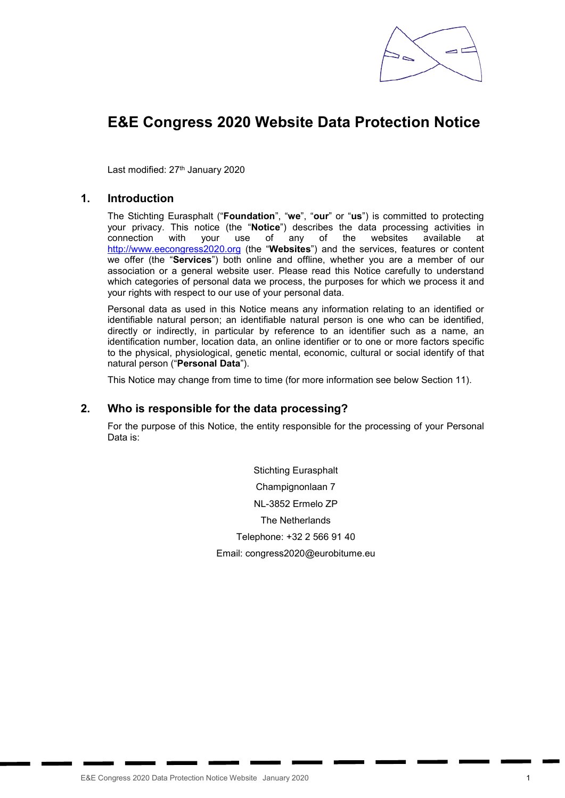

# E&E Congress 2020 Website Data Protection Notice

Last modified: 27<sup>th</sup> January 2020

## 1. Introduction

The Stichting Eurasphalt ("Foundation", "we", "our" or "us") is committed to protecting your privacy. This notice (the "Notice") describes the data processing activities in connection with your use of any of the websites available at http://www.eecongress2020.org (the "Websites") and the services, features or content we offer (the "Services") both online and offline, whether you are a member of our association or a general website user. Please read this Notice carefully to understand which categories of personal data we process, the purposes for which we process it and your rights with respect to our use of your personal data.

Personal data as used in this Notice means any information relating to an identified or identifiable natural person; an identifiable natural person is one who can be identified, directly or indirectly, in particular by reference to an identifier such as a name, an identification number, location data, an online identifier or to one or more factors specific to the physical, physiological, genetic mental, economic, cultural or social identify of that natural person ("Personal Data").

This Notice may change from time to time (for more information see below Section 11).

#### 2. Who is responsible for the data processing?

For the purpose of this Notice, the entity responsible for the processing of your Personal Data is:

> Stichting Eurasphalt Champignonlaan 7 NL-3852 Ermelo ZP The Netherlands Telephone: +32 2 566 91 40 Email: congress2020@eurobitume.eu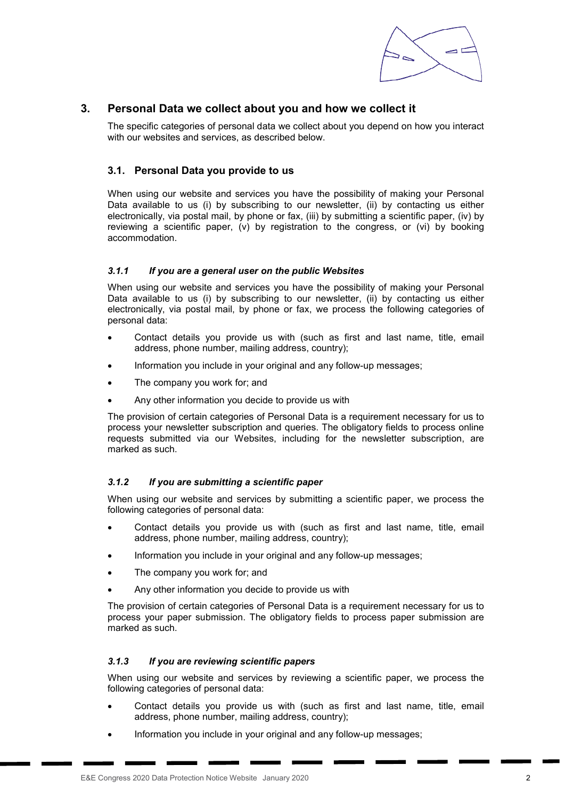

# 3. Personal Data we collect about you and how we collect it

The specific categories of personal data we collect about you depend on how you interact with our websites and services, as described below.

### 3.1. Personal Data you provide to us

When using our website and services you have the possibility of making your Personal Data available to us (i) by subscribing to our newsletter, (ii) by contacting us either electronically, via postal mail, by phone or fax, (iii) by submitting a scientific paper, (iv) by reviewing a scientific paper, (v) by registration to the congress, or (vi) by booking accommodation.

#### *3.1.1 If you are a general user on the public Websites*

When using our website and services you have the possibility of making your Personal Data available to us (i) by subscribing to our newsletter, (ii) by contacting us either electronically, via postal mail, by phone or fax, we process the following categories of personal data:

- Contact details you provide us with (such as first and last name, title, email address, phone number, mailing address, country);
- Information you include in your original and any follow-up messages;
- The company you work for; and
- Any other information you decide to provide us with

The provision of certain categories of Personal Data is a requirement necessary for us to process your newsletter subscription and queries. The obligatory fields to process online requests submitted via our Websites, including for the newsletter subscription, are marked as such.

#### *3.1.2 If you are submitting a scientific paper*

When using our website and services by submitting a scientific paper, we process the following categories of personal data:

- Contact details you provide us with (such as first and last name, title, email address, phone number, mailing address, country);
- Information you include in your original and any follow-up messages;
- The company you work for; and
- Any other information you decide to provide us with

The provision of certain categories of Personal Data is a requirement necessary for us to process your paper submission. The obligatory fields to process paper submission are marked as such.

#### *3.1.3 If you are reviewing scientific papers*

When using our website and services by reviewing a scientific paper, we process the following categories of personal data:

- Contact details you provide us with (such as first and last name, title, email address, phone number, mailing address, country);
- Information you include in your original and any follow-up messages;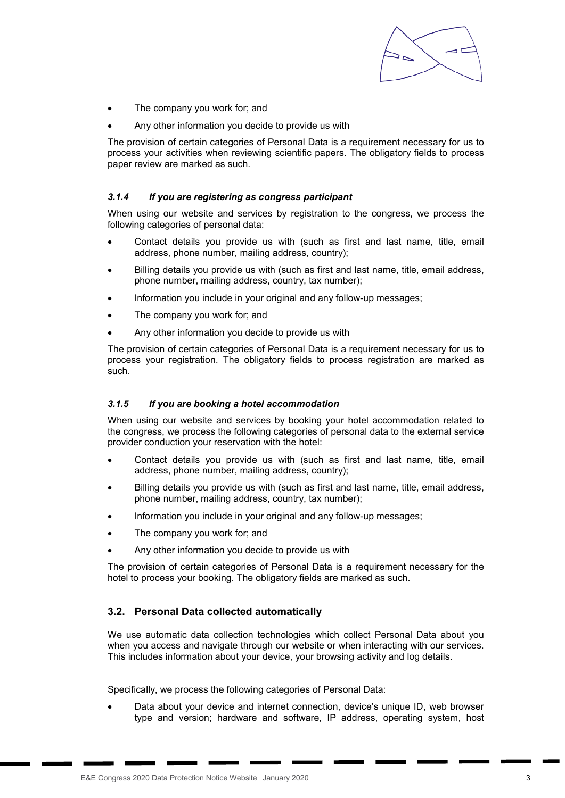

- The company you work for; and
- Any other information you decide to provide us with

The provision of certain categories of Personal Data is a requirement necessary for us to process your activities when reviewing scientific papers. The obligatory fields to process paper review are marked as such.

#### *3.1.4 If you are registering as congress participant*

When using our website and services by registration to the congress, we process the following categories of personal data:

- Contact details you provide us with (such as first and last name, title, email address, phone number, mailing address, country);
- Billing details you provide us with (such as first and last name, title, email address, phone number, mailing address, country, tax number);
- Information you include in your original and any follow-up messages;
- The company you work for; and
- Any other information you decide to provide us with

The provision of certain categories of Personal Data is a requirement necessary for us to process your registration. The obligatory fields to process registration are marked as such.

#### *3.1.5 If you are booking a hotel accommodation*

When using our website and services by booking your hotel accommodation related to the congress, we process the following categories of personal data to the external service provider conduction your reservation with the hotel:

- Contact details you provide us with (such as first and last name, title, email address, phone number, mailing address, country);
- Billing details you provide us with (such as first and last name, title, email address, phone number, mailing address, country, tax number);
- Information you include in your original and any follow-up messages;
- The company you work for; and
- Any other information you decide to provide us with

The provision of certain categories of Personal Data is a requirement necessary for the hotel to process your booking. The obligatory fields are marked as such.

#### 3.2. Personal Data collected automatically

We use automatic data collection technologies which collect Personal Data about you when you access and navigate through our website or when interacting with our services. This includes information about your device, your browsing activity and log details.

Specifically, we process the following categories of Personal Data:

 Data about your device and internet connection, device's unique ID, web browser type and version; hardware and software, IP address, operating system, host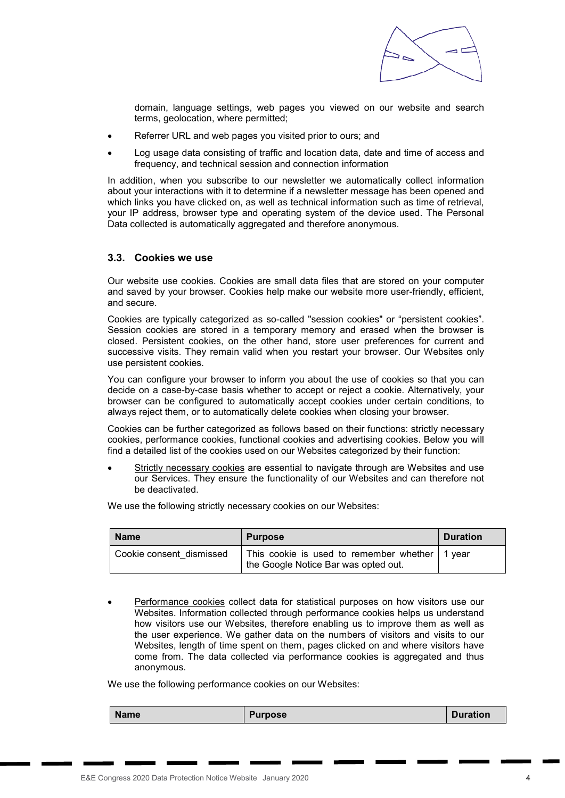

domain, language settings, web pages you viewed on our website and search terms, geolocation, where permitted;

- Referrer URL and web pages you visited prior to ours; and
- Log usage data consisting of traffic and location data, date and time of access and frequency, and technical session and connection information

In addition, when you subscribe to our newsletter we automatically collect information about your interactions with it to determine if a newsletter message has been opened and which links you have clicked on, as well as technical information such as time of retrieval, your IP address, browser type and operating system of the device used. The Personal Data collected is automatically aggregated and therefore anonymous.

#### 3.3. Cookies we use

Our website use cookies. Cookies are small data files that are stored on your computer and saved by your browser. Cookies help make our website more user-friendly, efficient, and secure.

Cookies are typically categorized as so-called "session cookies" or "persistent cookies". Session cookies are stored in a temporary memory and erased when the browser is closed. Persistent cookies, on the other hand, store user preferences for current and successive visits. They remain valid when you restart your browser. Our Websites only use persistent cookies.

You can configure your browser to inform you about the use of cookies so that you can decide on a case-by-case basis whether to accept or reject a cookie. Alternatively, your browser can be configured to automatically accept cookies under certain conditions, to always reject them, or to automatically delete cookies when closing your browser.

Cookies can be further categorized as follows based on their functions: strictly necessary cookies, performance cookies, functional cookies and advertising cookies. Below you will find a detailed list of the cookies used on our Websites categorized by their function:

 Strictly necessary cookies are essential to navigate through are Websites and use our Services. They ensure the functionality of our Websites and can therefore not be deactivated.

We use the following strictly necessary cookies on our Websites:

| <b>Name</b>              | <b>Purpose</b>                                                                           | <b>Duration</b> |
|--------------------------|------------------------------------------------------------------------------------------|-----------------|
| Cookie consent dismissed | This cookie is used to remember whether   1 year<br>the Google Notice Bar was opted out. |                 |

 Performance cookies collect data for statistical purposes on how visitors use our Websites. Information collected through performance cookies helps us understand how visitors use our Websites, therefore enabling us to improve them as well as the user experience. We gather data on the numbers of visitors and visits to our Websites, length of time spent on them, pages clicked on and where visitors have come from. The data collected via performance cookies is aggregated and thus anonymous.

We use the following performance cookies on our Websites:

Name | Purpose | Duration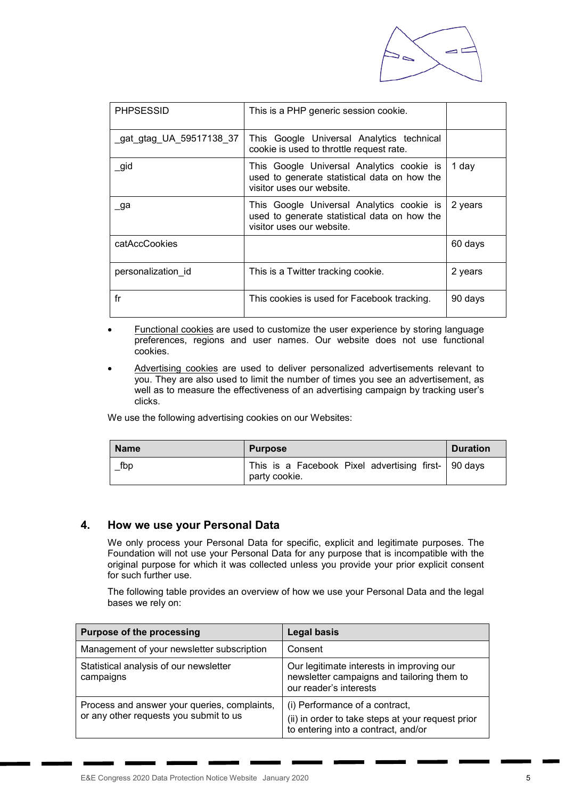

| <b>PHPSESSID</b>         | This is a PHP generic session cookie.                                                                                  |         |
|--------------------------|------------------------------------------------------------------------------------------------------------------------|---------|
| _gat_gtag_UA_59517138_37 | This Google Universal Analytics technical<br>cookie is used to throttle request rate.                                  |         |
| _gid                     | This Google Universal Analytics cookie is<br>used to generate statistical data on how the<br>visitor uses our website. | 1 day   |
| _ga                      | This Google Universal Analytics cookie is<br>used to generate statistical data on how the<br>visitor uses our website. | 2 years |
| catAccCookies            |                                                                                                                        | 60 days |
| personalization id       | This is a Twitter tracking cookie.                                                                                     | 2 years |
| fr                       | This cookies is used for Facebook tracking.                                                                            | 90 days |

- Functional cookies are used to customize the user experience by storing language preferences, regions and user names. Our website does not use functional cookies.
- Advertising cookies are used to deliver personalized advertisements relevant to you. They are also used to limit the number of times you see an advertisement, as well as to measure the effectiveness of an advertising campaign by tracking user's clicks.

We use the following advertising cookies on our Websites:

| <b>Name</b> | <b>Purpose</b>                                                         | <b>Duration</b> |
|-------------|------------------------------------------------------------------------|-----------------|
| $\_$ fbp    | This is a Facebook Pixel advertising first-   90 days<br>party cookie. |                 |

# 4. How we use your Personal Data

We only process your Personal Data for specific, explicit and legitimate purposes. The Foundation will not use your Personal Data for any purpose that is incompatible with the original purpose for which it was collected unless you provide your prior explicit consent for such further use.

The following table provides an overview of how we use your Personal Data and the legal bases we rely on:

| <b>Purpose of the processing</b>                                                       | <b>Legal basis</b>                                                                                                         |
|----------------------------------------------------------------------------------------|----------------------------------------------------------------------------------------------------------------------------|
| Management of your newsletter subscription                                             | Consent                                                                                                                    |
| Statistical analysis of our newsletter<br>campaigns                                    | Our legitimate interests in improving our<br>newsletter campaigns and tailoring them to<br>our reader's interests          |
| Process and answer your queries, complaints,<br>or any other requests you submit to us | (i) Performance of a contract,<br>(ii) in order to take steps at your request prior<br>to entering into a contract, and/or |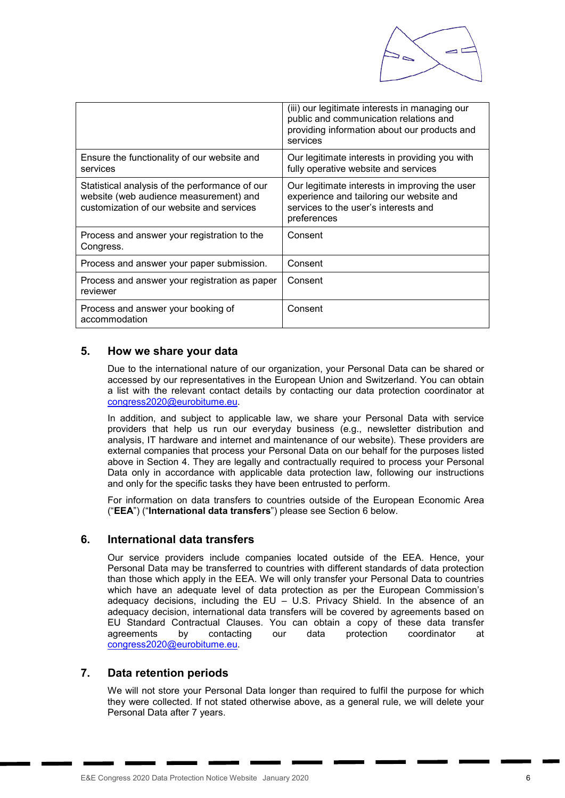

|                                                                                                                                       | (iii) our legitimate interests in managing our<br>public and communication relations and<br>providing information about our products and<br>services |
|---------------------------------------------------------------------------------------------------------------------------------------|------------------------------------------------------------------------------------------------------------------------------------------------------|
| Ensure the functionality of our website and<br>services                                                                               | Our legitimate interests in providing you with<br>fully operative website and services                                                               |
| Statistical analysis of the performance of our<br>website (web audience measurement) and<br>customization of our website and services | Our legitimate interests in improving the user<br>experience and tailoring our website and<br>services to the user's interests and<br>preferences    |
| Process and answer your registration to the<br>Congress.                                                                              | Consent                                                                                                                                              |
| Process and answer your paper submission.                                                                                             | Consent                                                                                                                                              |
| Process and answer your registration as paper<br>reviewer                                                                             | Consent                                                                                                                                              |
| Process and answer your booking of<br>accommodation                                                                                   | Consent                                                                                                                                              |

# 5. How we share your data

Due to the international nature of our organization, your Personal Data can be shared or accessed by our representatives in the European Union and Switzerland. You can obtain a list with the relevant contact details by contacting our data protection coordinator at congress2020@eurobitume.eu.

In addition, and subject to applicable law, we share your Personal Data with service providers that help us run our everyday business (e.g., newsletter distribution and analysis, IT hardware and internet and maintenance of our website). These providers are external companies that process your Personal Data on our behalf for the purposes listed above in Section 4. They are legally and contractually required to process your Personal Data only in accordance with applicable data protection law, following our instructions and only for the specific tasks they have been entrusted to perform.

For information on data transfers to countries outside of the European Economic Area ("EEA") ("International data transfers") please see Section 6 below.

# 6. International data transfers

Our service providers include companies located outside of the EEA. Hence, your Personal Data may be transferred to countries with different standards of data protection than those which apply in the EEA. We will only transfer your Personal Data to countries which have an adequate level of data protection as per the European Commission's adequacy decisions, including the EU – U.S. Privacy Shield. In the absence of an adequacy decision, international data transfers will be covered by agreements based on EU Standard Contractual Clauses. You can obtain a copy of these data transfer agreements by contacting our data protection coordinator at congress2020@eurobitume.eu.

# 7. Data retention periods

We will not store your Personal Data longer than required to fulfil the purpose for which they were collected. If not stated otherwise above, as a general rule, we will delete your Personal Data after 7 years.